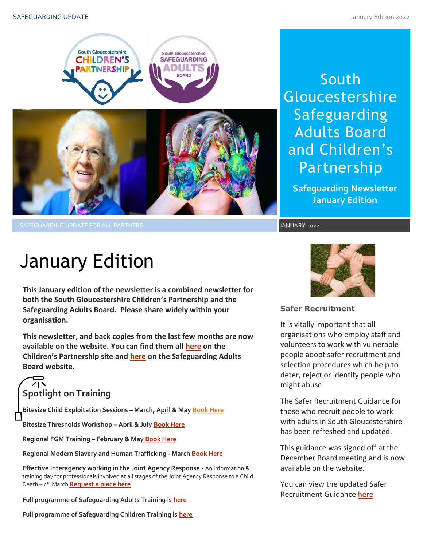

South Gloucestershire Safeguarding Adults Board and Children's Partnership

**Safeguarding Newsletter January Edition**

SAFEGUARDING UPDATE FOR ALL PARTNERS JANUARY 2022 SAFEGUARDING UPDATE FOR ALL PARTNERS JANUARY 2022

# January Edition

**This January edition of the newsletter is a combined newsletter for both the South Gloucestershire Children's Partnership and the Safeguarding Adults Board. Please share widely within your organisation.**

**This newsletter, and back copies from the last few months are now available on the website. You can find them all [here](https://sites.southglos.gov.uk/safeguarding/children/safeguarding-children-board/scb-minutes-of-meetings/) on the Children's Partnership site and [here](https://sites.southglos.gov.uk/safeguarding/adults/safeguarding-adults-board/newsletters-2/) on the Safeguarding Adults Board website.**

# **Spotlight on Training**

**Bitesize Child Exploitation Sessions – March, April & Ma[y Book Here](https://www.eventbrite.com/cc/bitesize-exploitation-111199?utm-campaign=social&utm-content=attendeeshare&utm-medium=discovery&utm-term=odclsxcollection&utm-source=cp&aff=odclsxcollection)**

**Bitesize Thresholds Workshop – April & July [Book Here](https://learning.southglos.gov.uk/courses/bookings/default.asp?ds=1&keyword=thresholds)**

**Regional FGM Training – February & Ma[y Book Here](https://safeguardingsomerset.event-booking.org.uk/events-list?c=359)**

**Regional Modern Slavery and Human Trafficking - March [Book Here](https://safeguardingsomerset.event-booking.org.uk/event-detail/=QTN4QTM/Modern-Slavery--Human-Trafficking)**

**Effective Interagency working in the Joint Agency Response -** An information & training day for professionals involved at all stages of the Joint Agency Response to a Child Death – 4 th March **[Request a place here](mailto:ubh-tr.cdop@nhs.net?subject=Joint%20Agency%20Response%20Training%204th%20March%20-%20Request%20a%20place)**

**Full programme of Safeguarding Adults Training is [here](https://sway.office.com/t1V6fJqHugGmU9OO?ref=Link)**

**Full programme of Safeguarding Children Training is [here](https://sway.office.com/XecEFBowUyeP1T8W?ref=Link)**



# **Safer Recruitment**

It is vitally important that all organisations who employ staff and volunteers to work with vulnerable people adopt safer recruitment and selection procedures which help to deter, reject or identify people who might abuse.

Inose who recruit people to work<br>with adults in South Gloucestershire The Safer Recruitment Guidance for those who recruit people to work has been refreshed and updated.

This guidance was signed off at the December Board meeting and is now available on the website.

You can view the updated Safer Recruitment Guidance [here](http://sites.southglos.gov.uk/safeguarding/wp-content/uploads/sites/221/2015/05/Safer-Recruitment-Guidance-2021.pdf)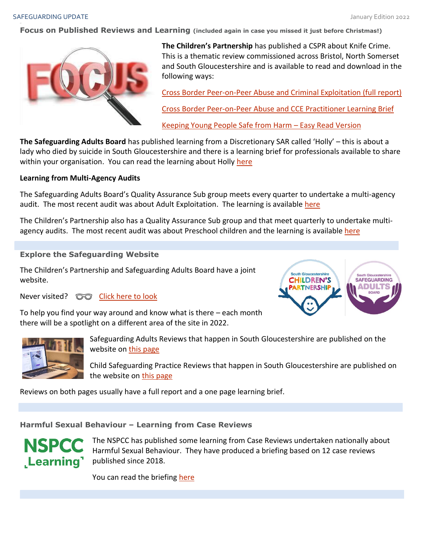**Focus on Published Reviews and Learning (included again in case you missed it just before Christmas!)**



**The Children's Partnership** has published a CSPR about Knife Crime. This is a thematic review commissioned across Bristol, North Somerset and South Gloucestershire and is available to read and download in the following ways:

[Cross Border Peer-on-Peer Abuse and Criminal Exploitation \(full report\)](http://sites.southglos.gov.uk/safeguarding/wp-content/uploads/sites/221/2015/05/Cross-Border-Peer-Abuse-CCE-Thematic-CSPR-Report-for-publication-2.pdf)

[Cross Border Peer-on-Peer Abuse and CCE Practitioner Learning Brief](http://sites.southglos.gov.uk/safeguarding/wp-content/uploads/sites/221/2015/05/Learning-Brief-for-Professionals-Cross-Border-Peer-on-peer-abuse-and-CCE-Thematic-CSPR.pdf)

[Keeping Young People Safe from Harm](http://sites.southglos.gov.uk/safeguarding/wp-content/uploads/sites/221/2015/05/Cross-Border-Peer-Abuse-Easy-Read-Report-Final.pdf) – Easy Read Version

**The Safeguarding Adults Board** has published learning from a Discretionary SAR called 'Holly' – this is about a lady who died by suicide in South Gloucestershire and there is a learning brief for professionals available to share within your organisation. You can read the learning about Holly [here](http://sites.southglos.gov.uk/safeguarding/wp-content/uploads/sites/221/2015/05/Holly-Discretionary-SAR-Learning-Brief-November-2021.pdf)

## **Learning from Multi-Agency Audits**

The Safeguarding Adults Board's Quality Assurance Sub group meets every quarter to undertake a multi-agency audit. The most recent audit was about Adult Exploitation. The learning is available [here](http://sites.southglos.gov.uk/safeguarding/wp-content/uploads/sites/221/2017/05/QA-Audit-Exploitation-November-2021.pdf)

The Children's Partnership also has a Quality Assurance Sub group and that meet quarterly to undertake multiagency audits. The most recent audit was about Preschool children and the learning is available [here](http://sites.southglos.gov.uk/safeguarding/wp-content/uploads/sites/221/2016/04/QA-Audit-Pre-school-and-under-1s-Dec-2021.pdf)

# **Explore the Safeguarding Website**

The Children's Partnership and Safeguarding Adults Board have a joint website.

To help you find your way around and know what is there – each month

there will be a spotlight on a different area of the site in 2022.

Never visited?  $\circled{}$  [Click here to look](http://sites.southglos.gov.uk/safeguarding/wp-content/uploads/sites/221/2016/04/QA-Audit-Pre-school-and-under-1s-Dec-2021.pdf)

**South Gloucestershire CHILDREN'S SAFEGUARDING** DULT **RTNERSHII** 



Safeguarding Adults Reviews that happen in South Gloucestershire are published on the website on [this page](http://sites.southglos.gov.uk/safeguarding/adults/safeguarding-adults-board/serious-case-reviews-2/)

Child Safeguarding Practice Reviews that happen in South Gloucestershire are published on the website on [this page](http://sites.southglos.gov.uk/safeguarding/children/safeguarding-children-board/serious-case-reviews/)

Reviews on both pages usually have a full report and a one page learning brief.

**Harmful Sexual Behaviour – Learning from Case Reviews**



The NSPCC has published some learning from Case Reviews undertaken nationally about Harmful Sexual Behaviour. They have produced a briefing based on 12 case reviews published since 2018.

You can read the briefing [here](https://learning.nspcc.org.uk/media/1339/learning-from-case-reviews-harmful-sexual-behaviour.pdf?utm_source=Adestra&utm_medium=email&utm_content=Read%20the%20full%20report%20%28PDF%29&utm_campaign=20220127_KIS_New-in-the-Library-external_January)